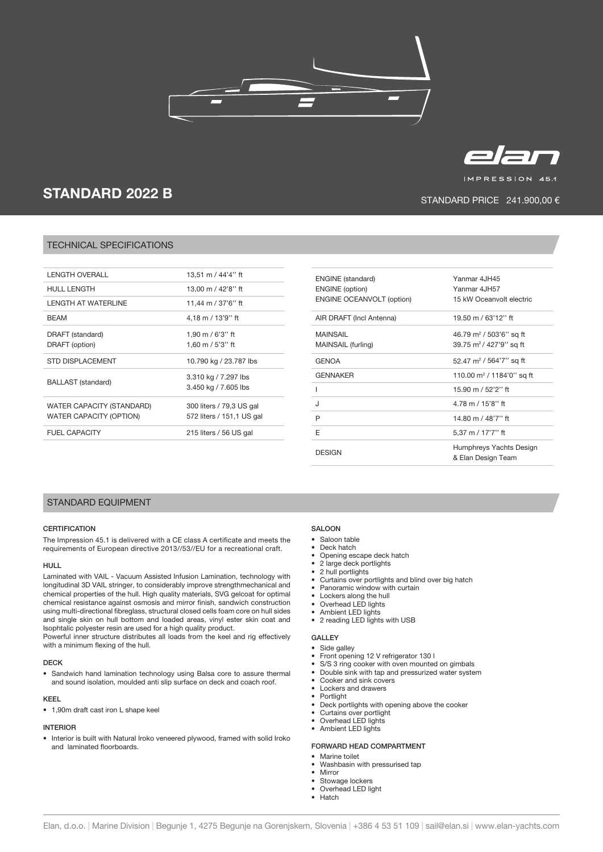



IMPRESSION 45.1

# STANDARD 2022 B

## STANDARD PRICE 241.900,00 €

## TECHNICAL SPECIFICATIONS

| <b>LENGTH OVERALL</b>          | 13,51 m / 44'4'' ft       |
|--------------------------------|---------------------------|
| <b>HULL LENGTH</b>             | 13,00 m / 42'8" ft        |
| I FNGTH AT WATFRI INF          | 11,44 m / 37'6" ft        |
| <b>BFAM</b>                    | 4.18 m / 13'9" ft         |
| DRAFT (standard)               | 1,90 m / 6'3'' ft         |
| DRAFT (option)                 | 1,60 m / 5'3'' ft         |
| <b>STD DISPLACEMENT</b>        | 10.790 kg / 23.787 lbs    |
| <b>BALLAST</b> (standard)      | 3.310 kg / 7.297 lbs      |
|                                | 3.450 kg / 7.605 lbs      |
| WATER CAPACITY (STANDARD)      | 300 liters / 79,3 US gal  |
| <b>WATER CAPACITY (OPTION)</b> | 572 liters / 151,1 US gal |
| <b>FUEL CAPACITY</b>           | 215 liters / 56 US gal    |
|                                |                           |

| <b>ENGINE</b> (standard)         | Yanmar 4JH45                                  |
|----------------------------------|-----------------------------------------------|
| <b>ENGINE</b> (option)           | Yanmar 4JH57                                  |
| <b>ENGINE OCEANVOLT (option)</b> | 15 kW Oceanvolt electric                      |
| AIR DRAFT (Incl Antenna)         | 19.50 m / 63'12" ft                           |
| <b>MAINSAIL</b>                  | 46.79 m <sup>2</sup> / 503'6" sq ft           |
| MAINSAIL (furling)               | 39.75 m <sup>2</sup> /427'9" sq ft            |
| <b>GENOA</b>                     | 52.47 m <sup>2</sup> / 564'7" sq ft           |
| <b>GENNAKER</b>                  | 110.00 m <sup>2</sup> / 1184'0'' sq ft        |
| ı                                | 15.90 m / 52'2" ft                            |
| J                                | 4.78 m / 15'8" ft                             |
| P                                | 14.80 m / 48'7" ft                            |
| F                                | 5,37 m / 17'7" ft                             |
| <b>DESIGN</b>                    | Humphreys Yachts Design<br>& Elan Design Team |

## STANDARD EQUIPMENT

#### **CERTIFICATION**

The Impression 45.1 is delivered with a CE class A certificate and meets the requirements of European directive 2013//53//EU for a recreational craft.

#### HULL

Laminated with VAIL - Vacuum Assisted Infusion Lamination, technology with longitudinal 3D VAIL stringer, to considerably improve strengthmechanical and chemical properties of the hull. High quality materials, SVG gelcoat for optimal chemical resistance against osmosis and mirror finish, sandwich construction using multi-directional fibreglass, structural closed cells foam core on hull sides and single skin on hull bottom and loaded areas, vinyl ester skin coat and Isophtalic polyester resin are used for a high quality product.

Powerful inner structure distributes all loads from the keel and rig effectively with a minimum flexing of the hull.

#### DECK

• Sandwich hand lamination technology using Balsa core to assure thermal and sound isolation, moulded anti slip surface on deck and coach roof.

#### KEEL

• 1,90m draft cast iron L shape keel

#### INTERIOR

• Interior is built with Natural Iroko veneered plywood, framed with solid Iroko and laminated floorboards.

## SALOON

- Saloon table<br>• Deck batch
- Deck hatch
- Opening escape deck hatch 2 large deck portlights
- 2 hull portlights
- Curtains over portlights and blind over big hatch
- Panoramic window with curtain
- Lockers along the hull
- Overhead LED lights
- Ambient LED lights
- 2 reading LED lights with USB

#### GALLEY

#### Side galley

- Front opening 12 V refrigerator 130 l
- S/S 3 ring cooker with oven mounted on gimbals<br>• Double sink with tap and pressurized water syste
	- Double sink with tap and pressurized water system
- Cooker and sink covers
- Lockers and drawers **Portlight**
- Deck portlights with opening above the cooker
- Curtains over portlight
- Overhead LED lights
- Ambient LED lights

#### FORWARD HEAD COMPARTMENT

- Marine toilet
- Washbasin with pressurised tap
- **Mirror**
- Stowage lockers • Overhead LED light
- Hatch
- Elan, d.o.o. | Marine Division | Begunje 1, 4275 Begunje na Gorenjskem, Slovenia | +386 4 53 51 109 | sail@elan.si | www.elan-yachts.com